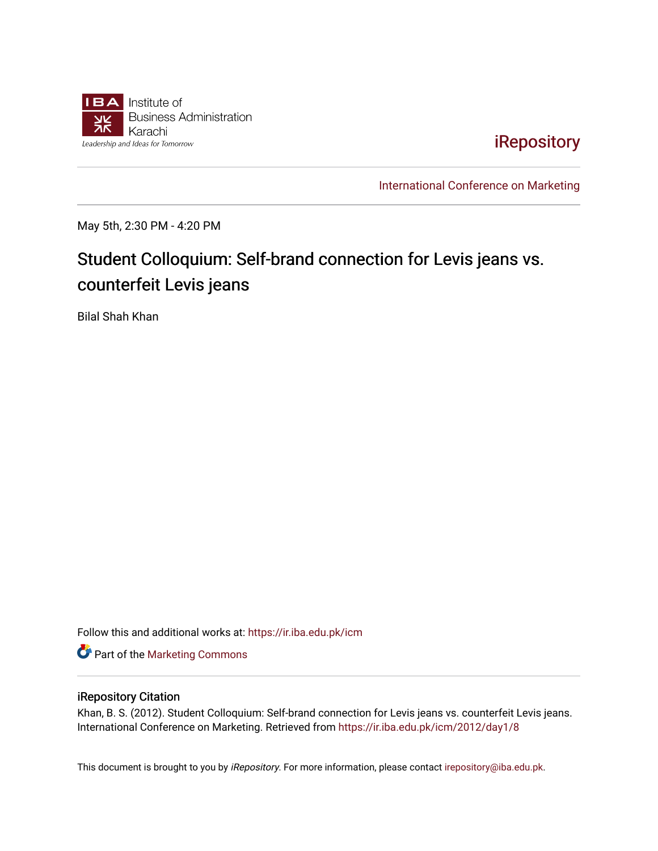

[iRepository](https://ir.iba.edu.pk/) 

[International Conference on Marketing](https://ir.iba.edu.pk/icm) 

May 5th, 2:30 PM - 4:20 PM

# Student Colloquium: Self-brand connection for Levis jeans vs. counterfeit Levis jeans

Bilal Shah Khan

Follow this and additional works at: [https://ir.iba.edu.pk/icm](https://ir.iba.edu.pk/icm?utm_source=ir.iba.edu.pk%2Ficm%2F2012%2Fday1%2F8&utm_medium=PDF&utm_campaign=PDFCoverPages) 

**Part of the [Marketing Commons](http://network.bepress.com/hgg/discipline/638?utm_source=ir.iba.edu.pk%2Ficm%2F2012%2Fday1%2F8&utm_medium=PDF&utm_campaign=PDFCoverPages)** 

#### iRepository Citation

Khan, B. S. (2012). Student Colloquium: Self-brand connection for Levis jeans vs. counterfeit Levis jeans. International Conference on Marketing. Retrieved from [https://ir.iba.edu.pk/icm/2012/day1/8](https://ir.iba.edu.pk/icm/2012/day1/8?utm_source=ir.iba.edu.pk%2Ficm%2F2012%2Fday1%2F8&utm_medium=PDF&utm_campaign=PDFCoverPages)

This document is brought to you by iRepository. For more information, please contact [irepository@iba.edu.pk](mailto:irepository@iba.edu.pk).